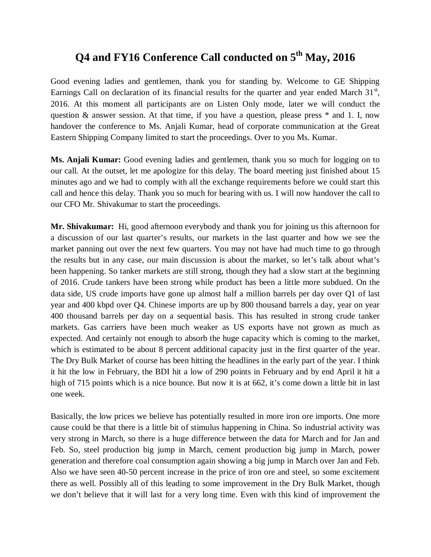# **Q4 and FY16 Conference Call conducted on 5th May, 2016**

Good evening ladies and gentlemen, thank you for standing by. Welcome to GE Shipping Earnings Call on declaration of its financial results for the quarter and year ended March  $31<sup>st</sup>$ , 2016. At this moment all participants are on Listen Only mode, later we will conduct the question & answer session. At that time, if you have a question, please press \* and 1. I, now handover the conference to Ms. Anjali Kumar, head of corporate communication at the Great Eastern Shipping Company limited to start the proceedings. Over to you Ms. Kumar.

**Ms. Anjali Kumar:** Good evening ladies and gentlemen, thank you so much for logging on to our call. At the outset, let me apologize for this delay. The board meeting just finished about 15 minutes ago and we had to comply with all the exchange requirements before we could start this call and hence this delay. Thank you so much for bearing with us. I will now handover the call to our CFO Mr. Shivakumar to start the proceedings.

**Mr. Shivakumar:** Hi, good afternoon everybody and thank you for joining us this afternoon for a discussion of our last quarter's results, our markets in the last quarter and how we see the market panning out over the next few quarters. You may not have had much time to go through the results but in any case, our main discussion is about the market, so let's talk about what's been happening. So tanker markets are still strong, though they had a slow start at the beginning of 2016. Crude tankers have been strong while product has been a little more subdued. On the data side, US crude imports have gone up almost half a million barrels per day over Q1 of last year and 400 kbpd over Q4. Chinese imports are up by 800 thousand barrels a day, year on year 400 thousand barrels per day on a sequential basis. This has resulted in strong crude tanker markets. Gas carriers have been much weaker as US exports have not grown as much as expected. And certainly not enough to absorb the huge capacity which is coming to the market, which is estimated to be about 8 percent additional capacity just in the first quarter of the year. The Dry Bulk Market of course has been hitting the headlines in the early part of the year. I think it hit the low in February, the BDI hit a low of 290 points in February and by end April it hit a high of 715 points which is a nice bounce. But now it is at 662, it's come down a little bit in last one week.

Basically, the low prices we believe has potentially resulted in more iron ore imports. One more cause could be that there is a little bit of stimulus happening in China. So industrial activity was very strong in March, so there is a huge difference between the data for March and for Jan and Feb. So, steel production big jump in March, cement production big jump in March, power generation and therefore coal consumption again showing a big jump in March over Jan and Feb. Also we have seen 40-50 percent increase in the price of iron ore and steel, so some excitement there as well. Possibly all of this leading to some improvement in the Dry Bulk Market, though we don't believe that it will last for a very long time. Even with this kind of improvement the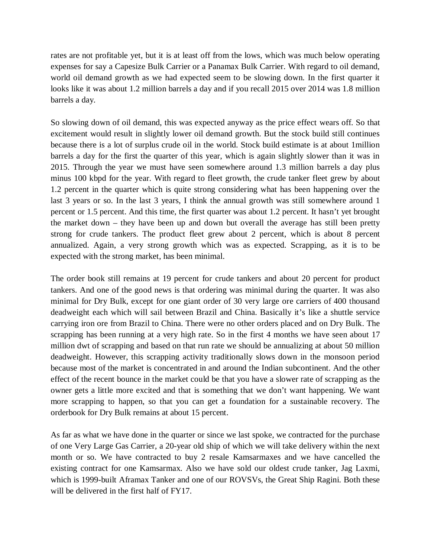rates are not profitable yet, but it is at least off from the lows, which was much below operating expenses for say a Capesize Bulk Carrier or a Panamax Bulk Carrier. With regard to oil demand, world oil demand growth as we had expected seem to be slowing down. In the first quarter it looks like it was about 1.2 million barrels a day and if you recall 2015 over 2014 was 1.8 million barrels a day.

So slowing down of oil demand, this was expected anyway as the price effect wears off. So that excitement would result in slightly lower oil demand growth. But the stock build still continues because there is a lot of surplus crude oil in the world. Stock build estimate is at about 1million barrels a day for the first the quarter of this year, which is again slightly slower than it was in 2015. Through the year we must have seen somewhere around 1.3 million barrels a day plus minus 100 kbpd for the year. With regard to fleet growth, the crude tanker fleet grew by about 1.2 percent in the quarter which is quite strong considering what has been happening over the last 3 years or so. In the last 3 years, I think the annual growth was still somewhere around 1 percent or 1.5 percent. And this time, the first quarter was about 1.2 percent. It hasn't yet brought the market down – they have been up and down but overall the average has still been pretty strong for crude tankers. The product fleet grew about 2 percent, which is about 8 percent annualized. Again, a very strong growth which was as expected. Scrapping, as it is to be expected with the strong market, has been minimal.

The order book still remains at 19 percent for crude tankers and about 20 percent for product tankers. And one of the good news is that ordering was minimal during the quarter. It was also minimal for Dry Bulk, except for one giant order of 30 very large ore carriers of 400 thousand deadweight each which will sail between Brazil and China. Basically it's like a shuttle service carrying iron ore from Brazil to China. There were no other orders placed and on Dry Bulk. The scrapping has been running at a very high rate. So in the first 4 months we have seen about 17 million dwt of scrapping and based on that run rate we should be annualizing at about 50 million deadweight. However, this scrapping activity traditionally slows down in the monsoon period because most of the market is concentrated in and around the Indian subcontinent. And the other effect of the recent bounce in the market could be that you have a slower rate of scrapping as the owner gets a little more excited and that is something that we don't want happening. We want more scrapping to happen, so that you can get a foundation for a sustainable recovery. The orderbook for Dry Bulk remains at about 15 percent.

As far as what we have done in the quarter or since we last spoke, we contracted for the purchase of one Very Large Gas Carrier, a 20-year old ship of which we will take delivery within the next month or so. We have contracted to buy 2 resale Kamsarmaxes and we have cancelled the existing contract for one Kamsarmax. Also we have sold our oldest crude tanker, Jag Laxmi, which is 1999-built Aframax Tanker and one of our ROVSVs, the Great Ship Ragini. Both these will be delivered in the first half of FY17.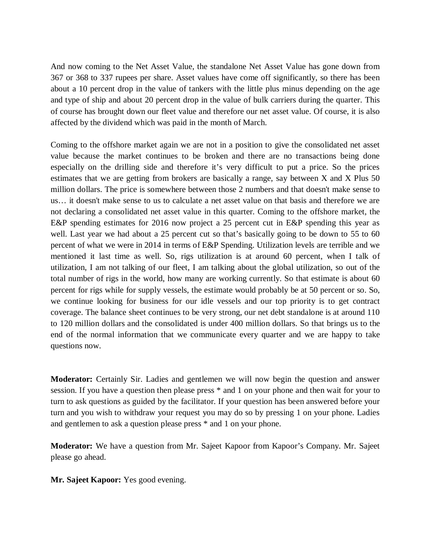And now coming to the Net Asset Value, the standalone Net Asset Value has gone down from 367 or 368 to 337 rupees per share. Asset values have come off significantly, so there has been about a 10 percent drop in the value of tankers with the little plus minus depending on the age and type of ship and about 20 percent drop in the value of bulk carriers during the quarter. This of course has brought down our fleet value and therefore our net asset value. Of course, it is also affected by the dividend which was paid in the month of March.

Coming to the offshore market again we are not in a position to give the consolidated net asset value because the market continues to be broken and there are no transactions being done especially on the drilling side and therefore it's very difficult to put a price. So the prices estimates that we are getting from brokers are basically a range, say between X and X Plus 50 million dollars. The price is somewhere between those 2 numbers and that doesn't make sense to us… it doesn't make sense to us to calculate a net asset value on that basis and therefore we are not declaring a consolidated net asset value in this quarter. Coming to the offshore market, the E&P spending estimates for 2016 now project a 25 percent cut in E&P spending this year as well. Last year we had about a 25 percent cut so that's basically going to be down to 55 to 60 percent of what we were in 2014 in terms of E&P Spending. Utilization levels are terrible and we mentioned it last time as well. So, rigs utilization is at around 60 percent, when I talk of utilization, I am not talking of our fleet, I am talking about the global utilization, so out of the total number of rigs in the world, how many are working currently. So that estimate is about 60 percent for rigs while for supply vessels, the estimate would probably be at 50 percent or so. So, we continue looking for business for our idle vessels and our top priority is to get contract coverage. The balance sheet continues to be very strong, our net debt standalone is at around 110 to 120 million dollars and the consolidated is under 400 million dollars. So that brings us to the end of the normal information that we communicate every quarter and we are happy to take questions now.

**Moderator:** Certainly Sir. Ladies and gentlemen we will now begin the question and answer session. If you have a question then please press \* and 1 on your phone and then wait for your to turn to ask questions as guided by the facilitator. If your question has been answered before your turn and you wish to withdraw your request you may do so by pressing 1 on your phone. Ladies and gentlemen to ask a question please press \* and 1 on your phone.

**Moderator:** We have a question from Mr. Sajeet Kapoor from Kapoor's Company. Mr. Sajeet please go ahead.

**Mr. Sajeet Kapoor:** Yes good evening.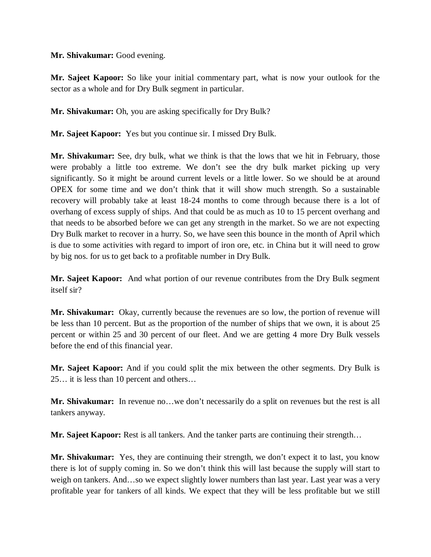## **Mr. Shivakumar:** Good evening.

**Mr. Sajeet Kapoor:** So like your initial commentary part, what is now your outlook for the sector as a whole and for Dry Bulk segment in particular.

**Mr. Shivakumar:** Oh, you are asking specifically for Dry Bulk?

**Mr. Sajeet Kapoor:** Yes but you continue sir. I missed Dry Bulk.

**Mr. Shivakumar:** See, dry bulk, what we think is that the lows that we hit in February, those were probably a little too extreme. We don't see the dry bulk market picking up very significantly. So it might be around current levels or a little lower. So we should be at around OPEX for some time and we don't think that it will show much strength. So a sustainable recovery will probably take at least 18-24 months to come through because there is a lot of overhang of excess supply of ships. And that could be as much as 10 to 15 percent overhang and that needs to be absorbed before we can get any strength in the market. So we are not expecting Dry Bulk market to recover in a hurry. So, we have seen this bounce in the month of April which is due to some activities with regard to import of iron ore, etc. in China but it will need to grow by big nos. for us to get back to a profitable number in Dry Bulk.

**Mr. Sajeet Kapoor:** And what portion of our revenue contributes from the Dry Bulk segment itself sir?

**Mr. Shivakumar:** Okay, currently because the revenues are so low, the portion of revenue will be less than 10 percent. But as the proportion of the number of ships that we own, it is about 25 percent or within 25 and 30 percent of our fleet. And we are getting 4 more Dry Bulk vessels before the end of this financial year.

**Mr. Sajeet Kapoor:** And if you could split the mix between the other segments. Dry Bulk is 25… it is less than 10 percent and others…

**Mr. Shivakumar:** In revenue no…we don't necessarily do a split on revenues but the rest is all tankers anyway.

**Mr. Sajeet Kapoor:** Rest is all tankers. And the tanker parts are continuing their strength…

**Mr. Shivakumar:** Yes, they are continuing their strength, we don't expect it to last, you know there is lot of supply coming in. So we don't think this will last because the supply will start to weigh on tankers. And…so we expect slightly lower numbers than last year. Last year was a very profitable year for tankers of all kinds. We expect that they will be less profitable but we still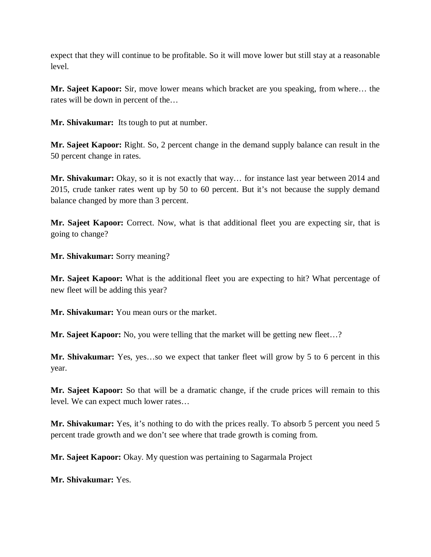expect that they will continue to be profitable. So it will move lower but still stay at a reasonable level.

**Mr. Sajeet Kapoor:** Sir, move lower means which bracket are you speaking, from where… the rates will be down in percent of the…

**Mr. Shivakumar:** Its tough to put at number.

**Mr. Sajeet Kapoor:** Right. So, 2 percent change in the demand supply balance can result in the 50 percent change in rates.

**Mr. Shivakumar:** Okay, so it is not exactly that way… for instance last year between 2014 and 2015, crude tanker rates went up by 50 to 60 percent. But it's not because the supply demand balance changed by more than 3 percent.

**Mr. Sajeet Kapoor:** Correct. Now, what is that additional fleet you are expecting sir, that is going to change?

**Mr. Shivakumar:** Sorry meaning?

**Mr. Sajeet Kapoor:** What is the additional fleet you are expecting to hit? What percentage of new fleet will be adding this year?

**Mr. Shivakumar:** You mean ours or the market.

**Mr. Sajeet Kapoor:** No, you were telling that the market will be getting new fleet...?

**Mr. Shivakumar:** Yes, yes…so we expect that tanker fleet will grow by 5 to 6 percent in this year.

**Mr. Sajeet Kapoor:** So that will be a dramatic change, if the crude prices will remain to this level. We can expect much lower rates…

**Mr. Shivakumar:** Yes, it's nothing to do with the prices really. To absorb 5 percent you need 5 percent trade growth and we don't see where that trade growth is coming from.

**Mr. Sajeet Kapoor:** Okay. My question was pertaining to Sagarmala Project

**Mr. Shivakumar:** Yes.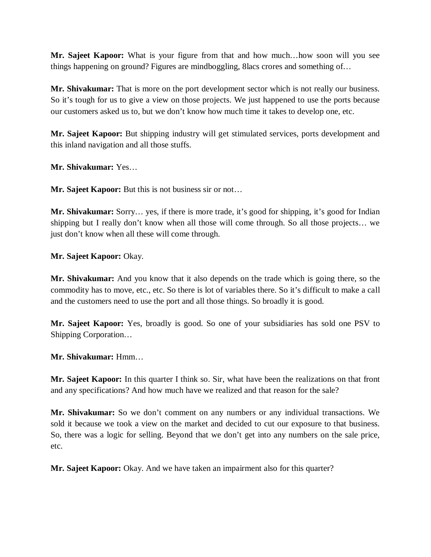**Mr. Sajeet Kapoor:** What is your figure from that and how much…how soon will you see things happening on ground? Figures are mindboggling, 8lacs crores and something of…

**Mr. Shivakumar:** That is more on the port development sector which is not really our business. So it's tough for us to give a view on those projects. We just happened to use the ports because our customers asked us to, but we don't know how much time it takes to develop one, etc.

**Mr. Sajeet Kapoor:** But shipping industry will get stimulated services, ports development and this inland navigation and all those stuffs.

**Mr. Shivakumar:** Yes…

**Mr. Sajeet Kapoor:** But this is not business sir or not…

**Mr. Shivakumar:** Sorry… yes, if there is more trade, it's good for shipping, it's good for Indian shipping but I really don't know when all those will come through. So all those projects… we just don't know when all these will come through.

**Mr. Sajeet Kapoor:** Okay.

**Mr. Shivakumar:** And you know that it also depends on the trade which is going there, so the commodity has to move, etc., etc. So there is lot of variables there. So it's difficult to make a call and the customers need to use the port and all those things. So broadly it is good.

**Mr. Sajeet Kapoor:** Yes, broadly is good. So one of your subsidiaries has sold one PSV to Shipping Corporation…

**Mr. Shivakumar:** Hmm…

**Mr. Sajeet Kapoor:** In this quarter I think so. Sir, what have been the realizations on that front and any specifications? And how much have we realized and that reason for the sale?

**Mr. Shivakumar:** So we don't comment on any numbers or any individual transactions. We sold it because we took a view on the market and decided to cut our exposure to that business. So, there was a logic for selling. Beyond that we don't get into any numbers on the sale price, etc.

**Mr. Sajeet Kapoor:** Okay. And we have taken an impairment also for this quarter?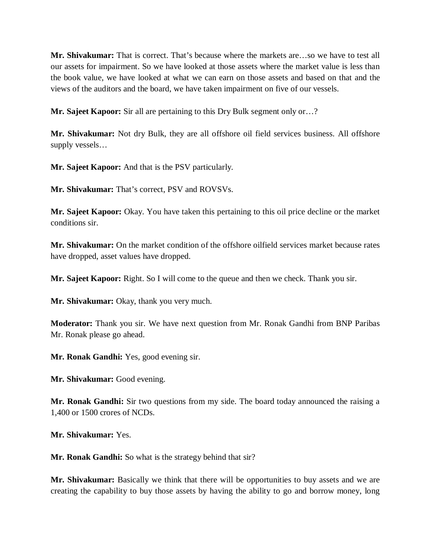**Mr. Shivakumar:** That is correct. That's because where the markets are…so we have to test all our assets for impairment. So we have looked at those assets where the market value is less than the book value, we have looked at what we can earn on those assets and based on that and the views of the auditors and the board, we have taken impairment on five of our vessels.

**Mr. Sajeet Kapoor:** Sir all are pertaining to this Dry Bulk segment only or…?

**Mr. Shivakumar:** Not dry Bulk, they are all offshore oil field services business. All offshore supply vessels…

**Mr. Sajeet Kapoor:** And that is the PSV particularly.

**Mr. Shivakumar:** That's correct, PSV and ROVSVs.

**Mr. Sajeet Kapoor:** Okay. You have taken this pertaining to this oil price decline or the market conditions sir.

**Mr. Shivakumar:** On the market condition of the offshore oilfield services market because rates have dropped, asset values have dropped.

**Mr. Sajeet Kapoor:** Right. So I will come to the queue and then we check. Thank you sir.

**Mr. Shivakumar:** Okay, thank you very much.

**Moderator:** Thank you sir. We have next question from Mr. Ronak Gandhi from BNP Paribas Mr. Ronak please go ahead.

**Mr. Ronak Gandhi:** Yes, good evening sir.

**Mr. Shivakumar:** Good evening.

**Mr. Ronak Gandhi:** Sir two questions from my side. The board today announced the raising a 1,400 or 1500 crores of NCDs.

**Mr. Shivakumar:** Yes.

**Mr. Ronak Gandhi:** So what is the strategy behind that sir?

**Mr. Shivakumar:** Basically we think that there will be opportunities to buy assets and we are creating the capability to buy those assets by having the ability to go and borrow money, long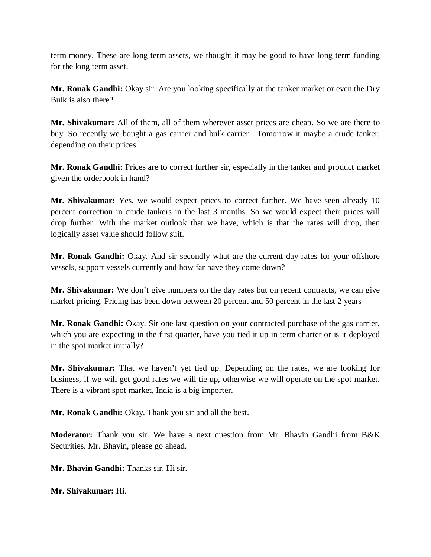term money. These are long term assets, we thought it may be good to have long term funding for the long term asset.

**Mr. Ronak Gandhi:** Okay sir. Are you looking specifically at the tanker market or even the Dry Bulk is also there?

**Mr. Shivakumar:** All of them, all of them wherever asset prices are cheap. So we are there to buy. So recently we bought a gas carrier and bulk carrier. Tomorrow it maybe a crude tanker, depending on their prices.

**Mr. Ronak Gandhi:** Prices are to correct further sir, especially in the tanker and product market given the orderbook in hand?

**Mr. Shivakumar:** Yes, we would expect prices to correct further. We have seen already 10 percent correction in crude tankers in the last 3 months. So we would expect their prices will drop further. With the market outlook that we have, which is that the rates will drop, then logically asset value should follow suit.

**Mr. Ronak Gandhi:** Okay. And sir secondly what are the current day rates for your offshore vessels, support vessels currently and how far have they come down?

**Mr. Shivakumar:** We don't give numbers on the day rates but on recent contracts, we can give market pricing. Pricing has been down between 20 percent and 50 percent in the last 2 years

**Mr. Ronak Gandhi:** Okay. Sir one last question on your contracted purchase of the gas carrier, which you are expecting in the first quarter, have you tied it up in term charter or is it deployed in the spot market initially?

**Mr. Shivakumar:** That we haven't yet tied up. Depending on the rates, we are looking for business, if we will get good rates we will tie up, otherwise we will operate on the spot market. There is a vibrant spot market, India is a big importer.

**Mr. Ronak Gandhi:** Okay. Thank you sir and all the best.

**Moderator:** Thank you sir. We have a next question from Mr. Bhavin Gandhi from B&K Securities. Mr. Bhavin, please go ahead.

**Mr. Bhavin Gandhi:** Thanks sir. Hi sir.

**Mr. Shivakumar:** Hi.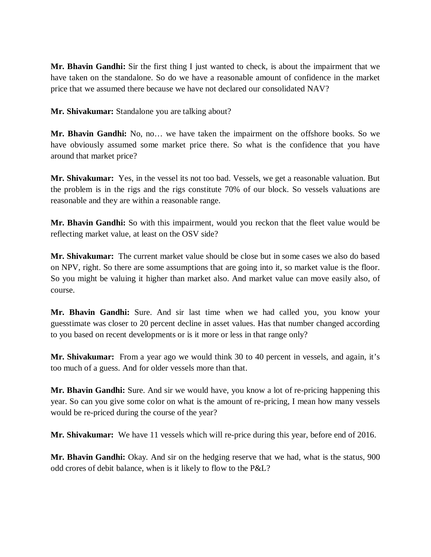**Mr. Bhavin Gandhi:** Sir the first thing I just wanted to check, is about the impairment that we have taken on the standalone. So do we have a reasonable amount of confidence in the market price that we assumed there because we have not declared our consolidated NAV?

**Mr. Shivakumar:** Standalone you are talking about?

**Mr. Bhavin Gandhi:** No, no… we have taken the impairment on the offshore books. So we have obviously assumed some market price there. So what is the confidence that you have around that market price?

**Mr. Shivakumar:** Yes, in the vessel its not too bad. Vessels, we get a reasonable valuation. But the problem is in the rigs and the rigs constitute 70% of our block. So vessels valuations are reasonable and they are within a reasonable range.

**Mr. Bhavin Gandhi:** So with this impairment, would you reckon that the fleet value would be reflecting market value, at least on the OSV side?

**Mr. Shivakumar:** The current market value should be close but in some cases we also do based on NPV, right. So there are some assumptions that are going into it, so market value is the floor. So you might be valuing it higher than market also. And market value can move easily also, of course.

**Mr. Bhavin Gandhi:** Sure. And sir last time when we had called you, you know your guesstimate was closer to 20 percent decline in asset values. Has that number changed according to you based on recent developments or is it more or less in that range only?

**Mr. Shivakumar:** From a year ago we would think 30 to 40 percent in vessels, and again, it's too much of a guess. And for older vessels more than that.

**Mr. Bhavin Gandhi:** Sure. And sir we would have, you know a lot of re-pricing happening this year. So can you give some color on what is the amount of re-pricing, I mean how many vessels would be re-priced during the course of the year?

**Mr. Shivakumar:** We have 11 vessels which will re-price during this year, before end of 2016.

**Mr. Bhavin Gandhi:** Okay. And sir on the hedging reserve that we had, what is the status, 900 odd crores of debit balance, when is it likely to flow to the P&L?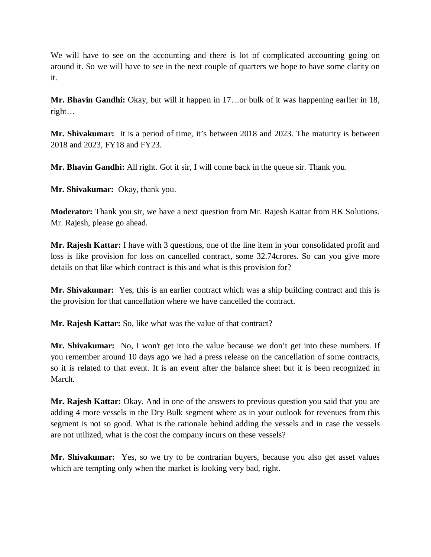We will have to see on the accounting and there is lot of complicated accounting going on around it. So we will have to see in the next couple of quarters we hope to have some clarity on it.

**Mr. Bhavin Gandhi:** Okay, but will it happen in 17…or bulk of it was happening earlier in 18, right…

**Mr. Shivakumar:** It is a period of time, it's between 2018 and 2023. The maturity is between 2018 and 2023, FY18 and FY23.

**Mr. Bhavin Gandhi:** All right. Got it sir, I will come back in the queue sir. Thank you.

**Mr. Shivakumar:** Okay, thank you.

**Moderator:** Thank you sir, we have a next question from Mr. Rajesh Kattar from RK Solutions. Mr. Rajesh, please go ahead.

**Mr. Rajesh Kattar:** I have with 3 questions, one of the line item in your consolidated profit and loss is like provision for loss on cancelled contract, some 32.74crores. So can you give more details on that like which contract is this and what is this provision for?

**Mr. Shivakumar:** Yes, this is an earlier contract which was a ship building contract and this is the provision for that cancellation where we have cancelled the contract.

**Mr. Rajesh Kattar:** So, like what was the value of that contract?

**Mr. Shivakumar:** No, I won't get into the value because we don't get into these numbers. If you remember around 10 days ago we had a press release on the cancellation of some contracts, so it is related to that event. It is an event after the balance sheet but it is been recognized in March.

**Mr. Rajesh Kattar:** Okay. And in one of the answers to previous question you said that you are adding 4 more vessels in the Dry Bulk segment **w**here as in your outlook for revenues from this segment is not so good. What is the rationale behind adding the vessels and in case the vessels are not utilized, what is the cost the company incurs on these vessels?

**Mr. Shivakumar:** Yes, so we try to be contrarian buyers, because you also get asset values which are tempting only when the market is looking very bad, right.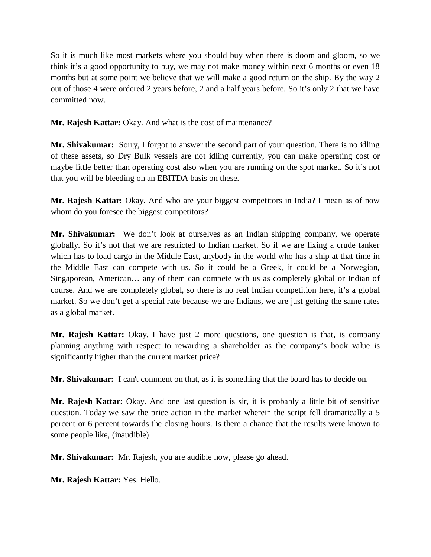So it is much like most markets where you should buy when there is doom and gloom, so we think it's a good opportunity to buy, we may not make money within next 6 months or even 18 months but at some point we believe that we will make a good return on the ship. By the way 2 out of those 4 were ordered 2 years before, 2 and a half years before. So it's only 2 that we have committed now.

**Mr. Rajesh Kattar:** Okay. And what is the cost of maintenance?

**Mr. Shivakumar:** Sorry, I forgot to answer the second part of your question. There is no idling of these assets, so Dry Bulk vessels are not idling currently, you can make operating cost or maybe little better than operating cost also when you are running on the spot market. So it's not that you will be bleeding on an EBITDA basis on these.

**Mr. Rajesh Kattar:** Okay. And who are your biggest competitors in India? I mean as of now whom do you foresee the biggest competitors?

**Mr. Shivakumar:** We don't look at ourselves as an Indian shipping company, we operate globally. So it's not that we are restricted to Indian market. So if we are fixing a crude tanker which has to load cargo in the Middle East, anybody in the world who has a ship at that time in the Middle East can compete with us. So it could be a Greek, it could be a Norwegian, Singaporean, American… any of them can compete with us as completely global or Indian of course. And we are completely global, so there is no real Indian competition here, it's a global market. So we don't get a special rate because we are Indians, we are just getting the same rates as a global market.

**Mr. Rajesh Kattar:** Okay. I have just 2 more questions, one question is that, is company planning anything with respect to rewarding a shareholder as the company's book value is significantly higher than the current market price?

**Mr. Shivakumar:** I can't comment on that, as it is something that the board has to decide on.

**Mr. Rajesh Kattar:** Okay. And one last question is sir, it is probably a little bit of sensitive question. Today we saw the price action in the market wherein the script fell dramatically a 5 percent or 6 percent towards the closing hours. Is there a chance that the results were known to some people like, (inaudible)

**Mr. Shivakumar:** Mr. Rajesh, you are audible now, please go ahead.

**Mr. Rajesh Kattar:** Yes. Hello.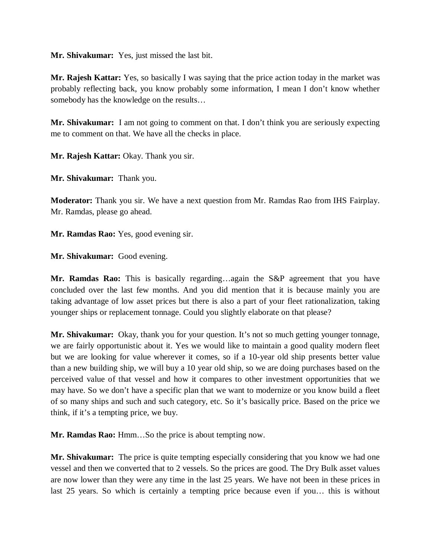**Mr. Shivakumar:** Yes, just missed the last bit.

**Mr. Rajesh Kattar:** Yes, so basically I was saying that the price action today in the market was probably reflecting back, you know probably some information, I mean I don't know whether somebody has the knowledge on the results…

**Mr. Shivakumar:** I am not going to comment on that. I don't think you are seriously expecting me to comment on that. We have all the checks in place.

**Mr. Rajesh Kattar:** Okay. Thank you sir.

**Mr. Shivakumar:** Thank you.

**Moderator:** Thank you sir. We have a next question from Mr. Ramdas Rao from IHS Fairplay. Mr. Ramdas, please go ahead.

**Mr. Ramdas Rao:** Yes, good evening sir.

**Mr. Shivakumar:** Good evening.

**Mr. Ramdas Rao:** This is basically regarding…again the S&P agreement that you have concluded over the last few months. And you did mention that it is because mainly you are taking advantage of low asset prices but there is also a part of your fleet rationalization, taking younger ships or replacement tonnage. Could you slightly elaborate on that please?

**Mr. Shivakumar:** Okay, thank you for your question. It's not so much getting younger tonnage, we are fairly opportunistic about it. Yes we would like to maintain a good quality modern fleet but we are looking for value wherever it comes, so if a 10-year old ship presents better value than a new building ship, we will buy a 10 year old ship, so we are doing purchases based on the perceived value of that vessel and how it compares to other investment opportunities that we may have. So we don't have a specific plan that we want to modernize or you know build a fleet of so many ships and such and such category, etc. So it's basically price. Based on the price we think, if it's a tempting price, we buy.

**Mr. Ramdas Rao:** Hmm…So the price is about tempting now.

**Mr. Shivakumar:** The price is quite tempting especially considering that you know we had one vessel and then we converted that to 2 vessels. So the prices are good. The Dry Bulk asset values are now lower than they were any time in the last 25 years. We have not been in these prices in last 25 years. So which is certainly a tempting price because even if you… this is without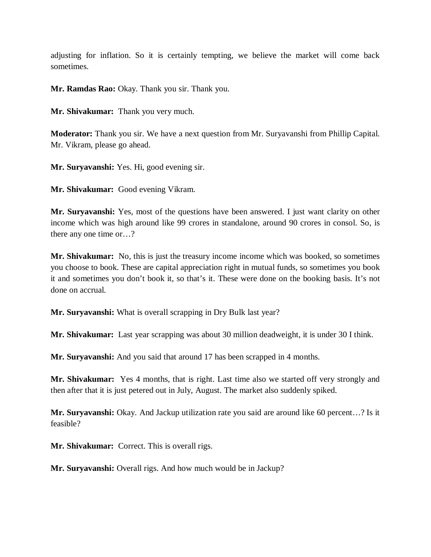adjusting for inflation. So it is certainly tempting, we believe the market will come back sometimes.

**Mr. Ramdas Rao:** Okay. Thank you sir. Thank you.

**Mr. Shivakumar:** Thank you very much.

**Moderator:** Thank you sir. We have a next question from Mr. Suryavanshi from Phillip Capital. Mr. Vikram, please go ahead.

**Mr. Suryavanshi:** Yes. Hi, good evening sir.

**Mr. Shivakumar:** Good evening Vikram.

**Mr. Suryavanshi:** Yes, most of the questions have been answered. I just want clarity on other income which was high around like 99 crores in standalone, around 90 crores in consol. So, is there any one time or…?

**Mr. Shivakumar:** No, this is just the treasury income income which was booked, so sometimes you choose to book. These are capital appreciation right in mutual funds, so sometimes you book it and sometimes you don't book it, so that's it. These were done on the booking basis. It's not done on accrual.

**Mr. Suryavanshi:** What is overall scrapping in Dry Bulk last year?

**Mr. Shivakumar:** Last year scrapping was about 30 million deadweight, it is under 30 I think.

**Mr. Suryavanshi:** And you said that around 17 has been scrapped in 4 months.

**Mr. Shivakumar:** Yes 4 months, that is right. Last time also we started off very strongly and then after that it is just petered out in July, August. The market also suddenly spiked.

**Mr. Suryavanshi:** Okay. And Jackup utilization rate you said are around like 60 percent…? Is it feasible?

**Mr. Shivakumar:** Correct. This is overall rigs.

**Mr. Suryavanshi:** Overall rigs. And how much would be in Jackup?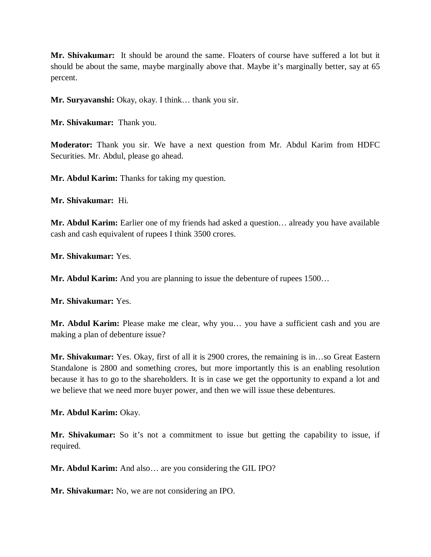**Mr. Shivakumar:** It should be around the same. Floaters of course have suffered a lot but it should be about the same, maybe marginally above that. Maybe it's marginally better, say at 65 percent.

**Mr. Suryavanshi:** Okay, okay. I think… thank you sir.

**Mr. Shivakumar:** Thank you.

**Moderator:** Thank you sir. We have a next question from Mr. Abdul Karim from HDFC Securities. Mr. Abdul, please go ahead.

**Mr. Abdul Karim:** Thanks for taking my question.

**Mr. Shivakumar:** Hi.

**Mr. Abdul Karim:** Earlier one of my friends had asked a question… already you have available cash and cash equivalent of rupees I think 3500 crores.

**Mr. Shivakumar:** Yes.

**Mr. Abdul Karim:** And you are planning to issue the debenture of rupees 1500...

**Mr. Shivakumar:** Yes.

**Mr. Abdul Karim:** Please make me clear, why you… you have a sufficient cash and you are making a plan of debenture issue?

**Mr. Shivakumar:** Yes. Okay, first of all it is 2900 crores, the remaining is in…so Great Eastern Standalone is 2800 and something crores, but more importantly this is an enabling resolution because it has to go to the shareholders. It is in case we get the opportunity to expand a lot and we believe that we need more buyer power, and then we will issue these debentures.

**Mr. Abdul Karim:** Okay.

**Mr. Shivakumar:** So it's not a commitment to issue but getting the capability to issue, if required.

**Mr. Abdul Karim:** And also… are you considering the GIL IPO?

**Mr. Shivakumar:** No, we are not considering an IPO.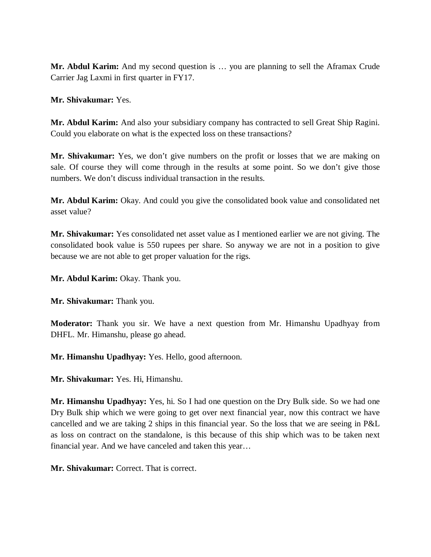**Mr. Abdul Karim:** And my second question is … you are planning to sell the Aframax Crude Carrier Jag Laxmi in first quarter in FY17.

**Mr. Shivakumar:** Yes.

**Mr. Abdul Karim:** And also your subsidiary company has contracted to sell Great Ship Ragini. Could you elaborate on what is the expected loss on these transactions?

**Mr. Shivakumar:** Yes, we don't give numbers on the profit or losses that we are making on sale. Of course they will come through in the results at some point. So we don't give those numbers. We don't discuss individual transaction in the results.

**Mr. Abdul Karim:** Okay. And could you give the consolidated book value and consolidated net asset value?

**Mr. Shivakumar:** Yes consolidated net asset value as I mentioned earlier we are not giving. The consolidated book value is 550 rupees per share. So anyway we are not in a position to give because we are not able to get proper valuation for the rigs.

**Mr. Abdul Karim:** Okay. Thank you.

**Mr. Shivakumar:** Thank you.

**Moderator:** Thank you sir. We have a next question from Mr. Himanshu Upadhyay from DHFL. Mr. Himanshu, please go ahead.

**Mr. Himanshu Upadhyay:** Yes. Hello, good afternoon.

**Mr. Shivakumar:** Yes. Hi, Himanshu.

**Mr. Himanshu Upadhyay:** Yes, hi. So I had one question on the Dry Bulk side. So we had one Dry Bulk ship which we were going to get over next financial year, now this contract we have cancelled and we are taking 2 ships in this financial year. So the loss that we are seeing in P&L as loss on contract on the standalone, is this because of this ship which was to be taken next financial year. And we have canceled and taken this year…

**Mr. Shivakumar:** Correct. That is correct.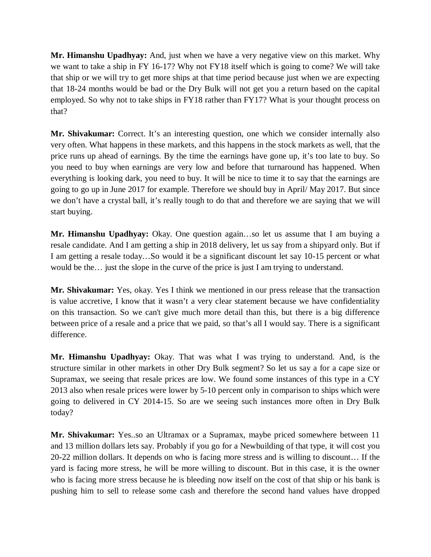**Mr. Himanshu Upadhyay:** And, just when we have a very negative view on this market. Why we want to take a ship in FY 16-17? Why not FY18 itself which is going to come? We will take that ship or we will try to get more ships at that time period because just when we are expecting that 18-24 months would be bad or the Dry Bulk will not get you a return based on the capital employed. So why not to take ships in FY18 rather than FY17? What is your thought process on that?

**Mr. Shivakumar:** Correct. It's an interesting question, one which we consider internally also very often. What happens in these markets, and this happens in the stock markets as well, that the price runs up ahead of earnings. By the time the earnings have gone up, it's too late to buy. So you need to buy when earnings are very low and before that turnaround has happened. When everything is looking dark, you need to buy. It will be nice to time it to say that the earnings are going to go up in June 2017 for example. Therefore we should buy in April/ May 2017. But since we don't have a crystal ball, it's really tough to do that and therefore we are saying that we will start buying.

**Mr. Himanshu Upadhyay:** Okay. One question again…so let us assume that I am buying a resale candidate. And I am getting a ship in 2018 delivery, let us say from a shipyard only. But if I am getting a resale today…So would it be a significant discount let say 10-15 percent or what would be the… just the slope in the curve of the price is just I am trying to understand.

**Mr. Shivakumar:** Yes, okay. Yes I think we mentioned in our press release that the transaction is value accretive, I know that it wasn't a very clear statement because we have confidentiality on this transaction. So we can't give much more detail than this, but there is a big difference between price of a resale and a price that we paid, so that's all I would say. There is a significant difference.

**Mr. Himanshu Upadhyay:** Okay. That was what I was trying to understand. And, is the structure similar in other markets in other Dry Bulk segment? So let us say a for a cape size or Supramax, we seeing that resale prices are low. We found some instances of this type in a CY 2013 also when resale prices were lower by 5-10 percent only in comparison to ships which were going to delivered in CY 2014-15. So are we seeing such instances more often in Dry Bulk today?

**Mr. Shivakumar:** Yes..so an Ultramax or a Supramax, maybe priced somewhere between 11 and 13 million dollars lets say. Probably if you go for a Newbuilding of that type, it will cost you 20-22 million dollars. It depends on who is facing more stress and is willing to discount… If the yard is facing more stress, he will be more willing to discount. But in this case, it is the owner who is facing more stress because he is bleeding now itself on the cost of that ship or his bank is pushing him to sell to release some cash and therefore the second hand values have dropped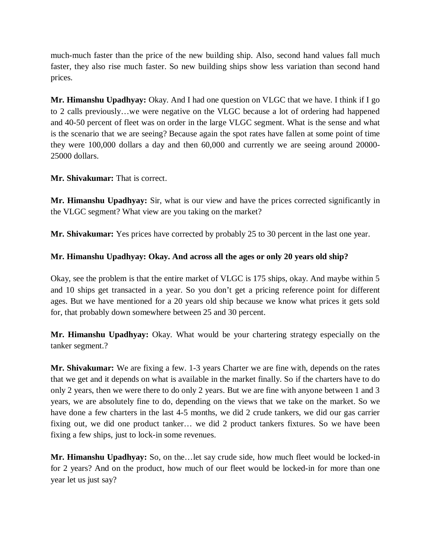much-much faster than the price of the new building ship. Also, second hand values fall much faster, they also rise much faster. So new building ships show less variation than second hand prices.

**Mr. Himanshu Upadhyay:** Okay. And I had one question on VLGC that we have. I think if I go to 2 calls previously…we were negative on the VLGC because a lot of ordering had happened and 40-50 percent of fleet was on order in the large VLGC segment. What is the sense and what is the scenario that we are seeing? Because again the spot rates have fallen at some point of time they were 100,000 dollars a day and then 60,000 and currently we are seeing around 20000- 25000 dollars.

**Mr. Shivakumar:** That is correct.

**Mr. Himanshu Upadhyay:** Sir, what is our view and have the prices corrected significantly in the VLGC segment? What view are you taking on the market?

**Mr. Shivakumar:** Yes prices have corrected by probably 25 to 30 percent in the last one year.

## **Mr. Himanshu Upadhyay: Okay. And across all the ages or only 20 years old ship?**

Okay, see the problem is that the entire market of VLGC is 175 ships, okay. And maybe within 5 and 10 ships get transacted in a year. So you don't get a pricing reference point for different ages. But we have mentioned for a 20 years old ship because we know what prices it gets sold for, that probably down somewhere between 25 and 30 percent.

**Mr. Himanshu Upadhyay:** Okay. What would be your chartering strategy especially on the tanker segment.?

**Mr. Shivakumar:** We are fixing a few. 1-3 years Charter we are fine with, depends on the rates that we get and it depends on what is available in the market finally. So if the charters have to do only 2 years, then we were there to do only 2 years. But we are fine with anyone between 1 and 3 years, we are absolutely fine to do, depending on the views that we take on the market. So we have done a few charters in the last 4-5 months, we did 2 crude tankers, we did our gas carrier fixing out, we did one product tanker… we did 2 product tankers fixtures. So we have been fixing a few ships, just to lock-in some revenues.

**Mr. Himanshu Upadhyay:** So, on the…let say crude side, how much fleet would be locked-in for 2 years? And on the product, how much of our fleet would be locked-in for more than one year let us just say?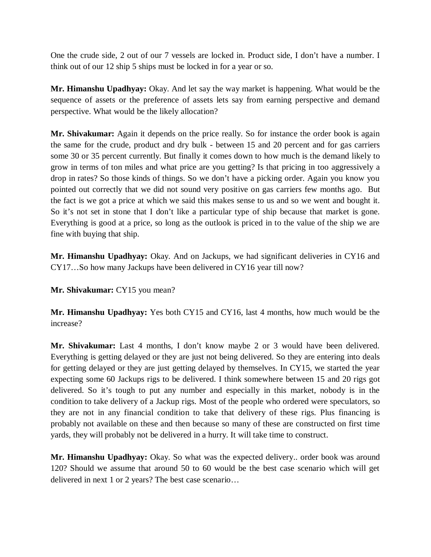One the crude side, 2 out of our 7 vessels are locked in. Product side, I don't have a number. I think out of our 12 ship 5 ships must be locked in for a year or so.

**Mr. Himanshu Upadhyay:** Okay. And let say the way market is happening. What would be the sequence of assets or the preference of assets lets say from earning perspective and demand perspective. What would be the likely allocation?

**Mr. Shivakumar:** Again it depends on the price really. So for instance the order book is again the same for the crude, product and dry bulk - between 15 and 20 percent and for gas carriers some 30 or 35 percent currently. But finally it comes down to how much is the demand likely to grow in terms of ton miles and what price are you getting? Is that pricing in too aggressively a drop in rates? So those kinds of things. So we don't have a picking order. Again you know you pointed out correctly that we did not sound very positive on gas carriers few months ago. But the fact is we got a price at which we said this makes sense to us and so we went and bought it. So it's not set in stone that I don't like a particular type of ship because that market is gone. Everything is good at a price, so long as the outlook is priced in to the value of the ship we are fine with buying that ship.

**Mr. Himanshu Upadhyay:** Okay. And on Jackups, we had significant deliveries in CY16 and CY17…So how many Jackups have been delivered in CY16 year till now?

**Mr. Shivakumar:** CY15 you mean?

**Mr. Himanshu Upadhyay:** Yes both CY15 and CY16, last 4 months, how much would be the increase?

**Mr. Shivakumar:** Last 4 months, I don't know maybe 2 or 3 would have been delivered. Everything is getting delayed or they are just not being delivered. So they are entering into deals for getting delayed or they are just getting delayed by themselves. In CY15, we started the year expecting some 60 Jackups rigs to be delivered. I think somewhere between 15 and 20 rigs got delivered. So it's tough to put any number and especially in this market, nobody is in the condition to take delivery of a Jackup rigs. Most of the people who ordered were speculators, so they are not in any financial condition to take that delivery of these rigs. Plus financing is probably not available on these and then because so many of these are constructed on first time yards, they will probably not be delivered in a hurry. It will take time to construct.

**Mr. Himanshu Upadhyay:** Okay. So what was the expected delivery.. order book was around 120? Should we assume that around 50 to 60 would be the best case scenario which will get delivered in next 1 or 2 years? The best case scenario…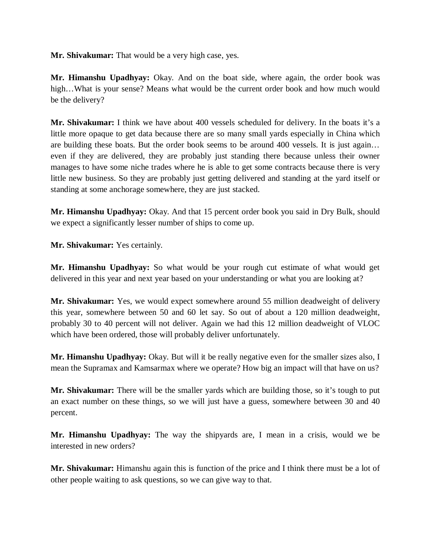**Mr. Shivakumar:** That would be a very high case, yes.

**Mr. Himanshu Upadhyay:** Okay. And on the boat side, where again, the order book was high…What is your sense? Means what would be the current order book and how much would be the delivery?

**Mr. Shivakumar:** I think we have about 400 vessels scheduled for delivery. In the boats it's a little more opaque to get data because there are so many small yards especially in China which are building these boats. But the order book seems to be around 400 vessels. It is just again… even if they are delivered, they are probably just standing there because unless their owner manages to have some niche trades where he is able to get some contracts because there is very little new business. So they are probably just getting delivered and standing at the yard itself or standing at some anchorage somewhere, they are just stacked.

**Mr. Himanshu Upadhyay:** Okay. And that 15 percent order book you said in Dry Bulk, should we expect a significantly lesser number of ships to come up.

**Mr. Shivakumar:** Yes certainly.

**Mr. Himanshu Upadhyay:** So what would be your rough cut estimate of what would get delivered in this year and next year based on your understanding or what you are looking at?

**Mr. Shivakumar:** Yes, we would expect somewhere around 55 million deadweight of delivery this year, somewhere between 50 and 60 let say. So out of about a 120 million deadweight, probably 30 to 40 percent will not deliver. Again we had this 12 million deadweight of VLOC which have been ordered, those will probably deliver unfortunately.

**Mr. Himanshu Upadhyay:** Okay. But will it be really negative even for the smaller sizes also, I mean the Supramax and Kamsarmax where we operate? How big an impact will that have on us?

**Mr. Shivakumar:** There will be the smaller yards which are building those, so it's tough to put an exact number on these things, so we will just have a guess, somewhere between 30 and 40 percent.

**Mr. Himanshu Upadhyay:** The way the shipyards are, I mean in a crisis, would we be interested in new orders?

**Mr. Shivakumar:** Himanshu again this is function of the price and I think there must be a lot of other people waiting to ask questions, so we can give way to that.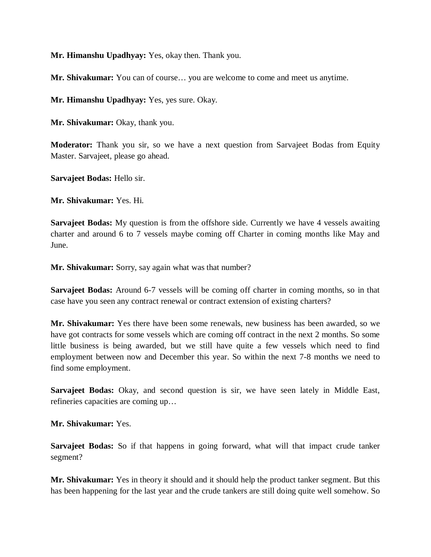**Mr. Himanshu Upadhyay:** Yes, okay then. Thank you.

**Mr. Shivakumar:** You can of course… you are welcome to come and meet us anytime.

**Mr. Himanshu Upadhyay:** Yes, yes sure. Okay.

**Mr. Shivakumar:** Okay, thank you.

**Moderator:** Thank you sir, so we have a next question from Sarvajeet Bodas from Equity Master. Sarvajeet, please go ahead.

**Sarvajeet Bodas:** Hello sir.

**Mr. Shivakumar:** Yes. Hi.

**Sarvajeet Bodas:** My question is from the offshore side. Currently we have 4 vessels awaiting charter and around 6 to 7 vessels maybe coming off Charter in coming months like May and June.

**Mr. Shivakumar:** Sorry, say again what was that number?

**Sarvajeet Bodas:** Around 6-7 vessels will be coming off charter in coming months, so in that case have you seen any contract renewal or contract extension of existing charters?

**Mr. Shivakumar:** Yes there have been some renewals, new business has been awarded, so we have got contracts for some vessels which are coming off contract in the next 2 months. So some little business is being awarded, but we still have quite a few vessels which need to find employment between now and December this year. So within the next 7-8 months we need to find some employment.

**Sarvajeet Bodas:** Okay, and second question is sir, we have seen lately in Middle East, refineries capacities are coming up…

**Mr. Shivakumar:** Yes.

**Sarvajeet Bodas:** So if that happens in going forward, what will that impact crude tanker segment?

**Mr. Shivakumar:** Yes in theory it should and it should help the product tanker segment. But this has been happening for the last year and the crude tankers are still doing quite well somehow. So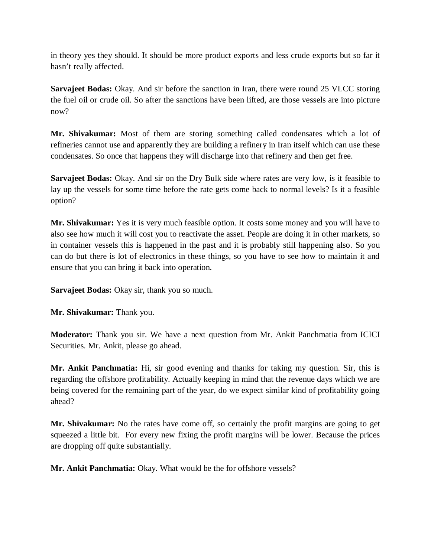in theory yes they should. It should be more product exports and less crude exports but so far it hasn't really affected.

**Sarvajeet Bodas:** Okay. And sir before the sanction in Iran, there were round 25 VLCC storing the fuel oil or crude oil. So after the sanctions have been lifted, are those vessels are into picture now?

**Mr. Shivakumar:** Most of them are storing something called condensates which a lot of refineries cannot use and apparently they are building a refinery in Iran itself which can use these condensates. So once that happens they will discharge into that refinery and then get free.

**Sarvajeet Bodas:** Okay. And sir on the Dry Bulk side where rates are very low, is it feasible to lay up the vessels for some time before the rate gets come back to normal levels? Is it a feasible option?

**Mr. Shivakumar:** Yes it is very much feasible option. It costs some money and you will have to also see how much it will cost you to reactivate the asset. People are doing it in other markets, so in container vessels this is happened in the past and it is probably still happening also. So you can do but there is lot of electronics in these things, so you have to see how to maintain it and ensure that you can bring it back into operation.

**Sarvajeet Bodas:** Okay sir, thank you so much.

**Mr. Shivakumar:** Thank you.

**Moderator:** Thank you sir. We have a next question from Mr. Ankit Panchmatia from ICICI Securities. Mr. Ankit, please go ahead.

**Mr. Ankit Panchmatia:** Hi, sir good evening and thanks for taking my question. Sir, this is regarding the offshore profitability. Actually keeping in mind that the revenue days which we are being covered for the remaining part of the year, do we expect similar kind of profitability going ahead?

**Mr. Shivakumar:** No the rates have come off, so certainly the profit margins are going to get squeezed a little bit. For every new fixing the profit margins will be lower. Because the prices are dropping off quite substantially.

**Mr. Ankit Panchmatia:** Okay. What would be the for offshore vessels?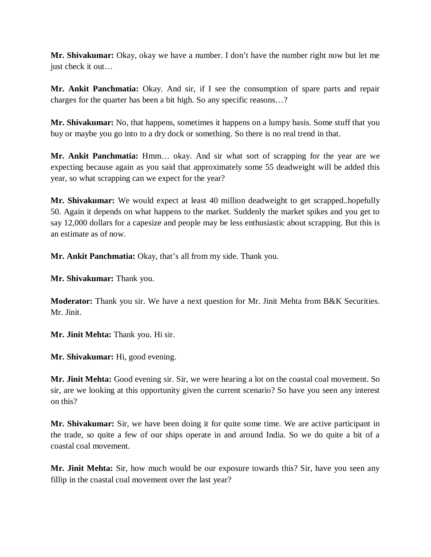**Mr. Shivakumar:** Okay, okay we have a number. I don't have the number right now but let me just check it out…

**Mr. Ankit Panchmatia:** Okay. And sir, if I see the consumption of spare parts and repair charges for the quarter has been a bit high. So any specific reasons…?

**Mr. Shivakumar:** No, that happens, sometimes it happens on a lumpy basis. Some stuff that you buy or maybe you go into to a dry dock or something. So there is no real trend in that.

**Mr. Ankit Panchmatia:** Hmm… okay. And sir what sort of scrapping for the year are we expecting because again as you said that approximately some 55 deadweight will be added this year, so what scrapping can we expect for the year?

**Mr. Shivakumar:** We would expect at least 40 million deadweight to get scrapped..hopefully 50. Again it depends on what happens to the market. Suddenly the market spikes and you get to say 12,000 dollars for a capesize and people may be less enthusiastic about scrapping. But this is an estimate as of now.

**Mr. Ankit Panchmatia:** Okay, that's all from my side. Thank you.

**Mr. Shivakumar:** Thank you.

**Moderator:** Thank you sir. We have a next question for Mr. Jinit Mehta from B&K Securities. Mr. Jinit.

**Mr. Jinit Mehta:** Thank you. Hi sir.

**Mr. Shivakumar:** Hi, good evening.

**Mr. Jinit Mehta:** Good evening sir. Sir, we were hearing a lot on the coastal coal movement. So sir, are we looking at this opportunity given the current scenario? So have you seen any interest on this?

**Mr. Shivakumar:** Sir, we have been doing it for quite some time. We are active participant in the trade, so quite a few of our ships operate in and around India. So we do quite a bit of a coastal coal movement.

**Mr. Jinit Mehta:** Sir, how much would be our exposure towards this? Sir, have you seen any fillip in the coastal coal movement over the last year?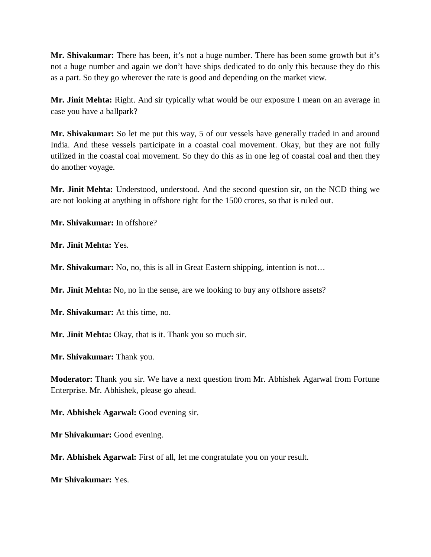**Mr. Shivakumar:** There has been, it's not a huge number. There has been some growth but it's not a huge number and again we don't have ships dedicated to do only this because they do this as a part. So they go wherever the rate is good and depending on the market view.

**Mr. Jinit Mehta:** Right. And sir typically what would be our exposure I mean on an average in case you have a ballpark?

**Mr. Shivakumar:** So let me put this way, 5 of our vessels have generally traded in and around India. And these vessels participate in a coastal coal movement. Okay, but they are not fully utilized in the coastal coal movement. So they do this as in one leg of coastal coal and then they do another voyage.

**Mr. Jinit Mehta:** Understood, understood. And the second question sir, on the NCD thing we are not looking at anything in offshore right for the 1500 crores, so that is ruled out.

**Mr. Shivakumar:** In offshore?

**Mr. Jinit Mehta:** Yes.

**Mr. Shivakumar:** No, no, this is all in Great Eastern shipping, intention is not…

**Mr. Jinit Mehta:** No, no in the sense, are we looking to buy any offshore assets?

**Mr. Shivakumar:** At this time, no.

**Mr. Jinit Mehta:** Okay, that is it. Thank you so much sir.

**Mr. Shivakumar:** Thank you.

**Moderator:** Thank you sir. We have a next question from Mr. Abhishek Agarwal from Fortune Enterprise. Mr. Abhishek, please go ahead.

**Mr. Abhishek Agarwal:** Good evening sir.

**Mr Shivakumar:** Good evening.

**Mr. Abhishek Agarwal:** First of all, let me congratulate you on your result.

**Mr Shivakumar:** Yes.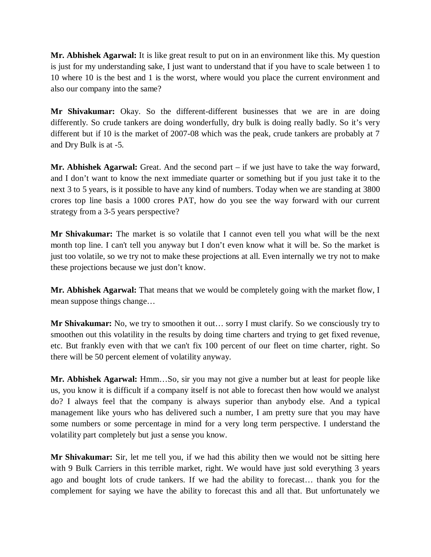**Mr. Abhishek Agarwal:** It is like great result to put on in an environment like this. My question is just for my understanding sake, I just want to understand that if you have to scale between 1 to 10 where 10 is the best and 1 is the worst, where would you place the current environment and also our company into the same?

**Mr Shivakumar:** Okay. So the different-different businesses that we are in are doing differently. So crude tankers are doing wonderfully, dry bulk is doing really badly. So it's very different but if 10 is the market of 2007-08 which was the peak, crude tankers are probably at 7 and Dry Bulk is at -5.

**Mr. Abhishek Agarwal:** Great. And the second part – if we just have to take the way forward, and I don't want to know the next immediate quarter or something but if you just take it to the next 3 to 5 years, is it possible to have any kind of numbers. Today when we are standing at 3800 crores top line basis a 1000 crores PAT, how do you see the way forward with our current strategy from a 3-5 years perspective?

**Mr Shivakumar:** The market is so volatile that I cannot even tell you what will be the next month top line. I can't tell you anyway but I don't even know what it will be. So the market is just too volatile, so we try not to make these projections at all. Even internally we try not to make these projections because we just don't know.

**Mr. Abhishek Agarwal:** That means that we would be completely going with the market flow, I mean suppose things change…

**Mr Shivakumar:** No, we try to smoothen it out… sorry I must clarify. So we consciously try to smoothen out this volatility in the results by doing time charters and trying to get fixed revenue, etc. But frankly even with that we can't fix 100 percent of our fleet on time charter, right. So there will be 50 percent element of volatility anyway.

**Mr. Abhishek Agarwal:** Hmm…So, sir you may not give a number but at least for people like us, you know it is difficult if a company itself is not able to forecast then how would we analyst do? I always feel that the company is always superior than anybody else. And a typical management like yours who has delivered such a number, I am pretty sure that you may have some numbers or some percentage in mind for a very long term perspective. I understand the volatility part completely but just a sense you know.

**Mr Shivakumar:** Sir, let me tell you, if we had this ability then we would not be sitting here with 9 Bulk Carriers in this terrible market, right. We would have just sold everything 3 years ago and bought lots of crude tankers. If we had the ability to forecast… thank you for the complement for saying we have the ability to forecast this and all that. But unfortunately we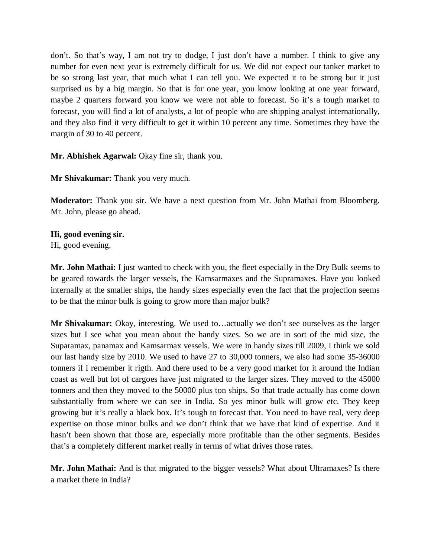don't. So that's way, I am not try to dodge, I just don't have a number. I think to give any number for even next year is extremely difficult for us. We did not expect our tanker market to be so strong last year, that much what I can tell you. We expected it to be strong but it just surprised us by a big margin. So that is for one year, you know looking at one year forward, maybe 2 quarters forward you know we were not able to forecast. So it's a tough market to forecast, you will find a lot of analysts, a lot of people who are shipping analyst internationally, and they also find it very difficult to get it within 10 percent any time. Sometimes they have the margin of 30 to 40 percent.

**Mr. Abhishek Agarwal:** Okay fine sir, thank you.

**Mr Shivakumar:** Thank you very much.

**Moderator:** Thank you sir. We have a next question from Mr. John Mathai from Bloomberg. Mr. John, please go ahead.

**Hi, good evening sir.** 

Hi, good evening.

**Mr. John Mathai:** I just wanted to check with you, the fleet especially in the Dry Bulk seems to be geared towards the larger vessels, the Kamsarmaxes and the Supramaxes. Have you looked internally at the smaller ships, the handy sizes especially even the fact that the projection seems to be that the minor bulk is going to grow more than major bulk?

**Mr Shivakumar:** Okay, interesting. We used to…actually we don't see ourselves as the larger sizes but I see what you mean about the handy sizes. So we are in sort of the mid size, the Suparamax, panamax and Kamsarmax vessels. We were in handy sizes till 2009, I think we sold our last handy size by 2010. We used to have 27 to 30,000 tonners, we also had some 35-36000 tonners if I remember it rigth. And there used to be a very good market for it around the Indian coast as well but lot of cargoes have just migrated to the larger sizes. They moved to the 45000 tonners and then they moved to the 50000 plus ton ships. So that trade actually has come down substantially from where we can see in India. So yes minor bulk will grow etc. They keep growing but it's really a black box. It's tough to forecast that. You need to have real, very deep expertise on those minor bulks and we don't think that we have that kind of expertise. And it hasn't been shown that those are, especially more profitable than the other segments. Besides that's a completely different market really in terms of what drives those rates.

**Mr. John Mathai:** And is that migrated to the bigger vessels? What about Ultramaxes? Is there a market there in India?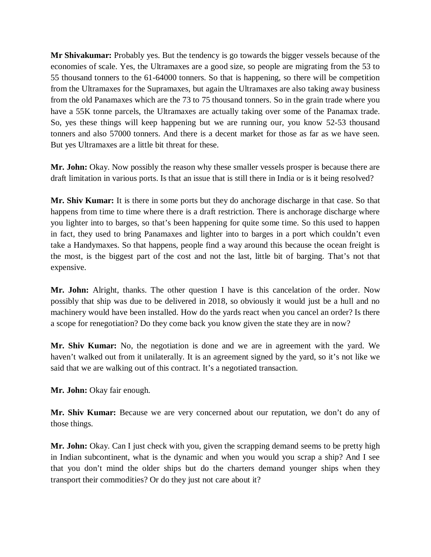**Mr Shivakumar:** Probably yes. But the tendency is go towards the bigger vessels because of the economies of scale. Yes, the Ultramaxes are a good size, so people are migrating from the 53 to 55 thousand tonners to the 61-64000 tonners. So that is happening, so there will be competition from the Ultramaxes for the Supramaxes, but again the Ultramaxes are also taking away business from the old Panamaxes which are the 73 to 75 thousand tonners. So in the grain trade where you have a 55K tonne parcels, the Ultramaxes are actually taking over some of the Panamax trade. So, yes these things will keep happening but we are running our, you know 52-53 thousand tonners and also 57000 tonners. And there is a decent market for those as far as we have seen. But yes Ultramaxes are a little bit threat for these.

**Mr. John:** Okay. Now possibly the reason why these smaller vessels prosper is because there are draft limitation in various ports. Is that an issue that is still there in India or is it being resolved?

**Mr. Shiv Kumar:** It is there in some ports but they do anchorage discharge in that case. So that happens from time to time where there is a draft restriction. There is anchorage discharge where you lighter into to barges, so that's been happening for quite some time. So this used to happen in fact, they used to bring Panamaxes and lighter into to barges in a port which couldn't even take a Handymaxes. So that happens, people find a way around this because the ocean freight is the most, is the biggest part of the cost and not the last, little bit of barging. That's not that expensive.

**Mr. John:** Alright, thanks. The other question I have is this cancelation of the order. Now possibly that ship was due to be delivered in 2018, so obviously it would just be a hull and no machinery would have been installed. How do the yards react when you cancel an order? Is there a scope for renegotiation? Do they come back you know given the state they are in now?

**Mr. Shiv Kumar:** No, the negotiation is done and we are in agreement with the yard. We haven't walked out from it unilaterally. It is an agreement signed by the yard, so it's not like we said that we are walking out of this contract. It's a negotiated transaction.

**Mr. John:** Okay fair enough.

**Mr. Shiv Kumar:** Because we are very concerned about our reputation, we don't do any of those things.

**Mr. John:** Okay. Can I just check with you, given the scrapping demand seems to be pretty high in Indian subcontinent, what is the dynamic and when you would you scrap a ship? And I see that you don't mind the older ships but do the charters demand younger ships when they transport their commodities? Or do they just not care about it?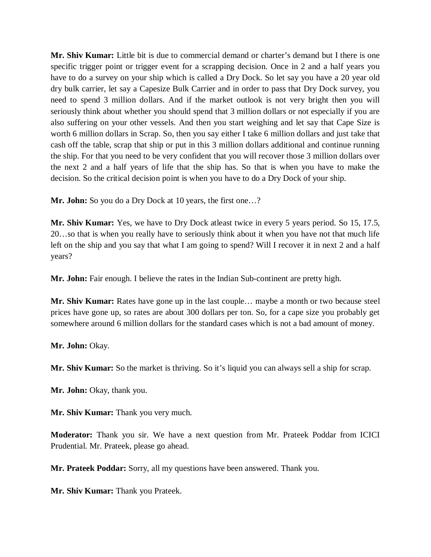**Mr. Shiv Kumar:** Little bit is due to commercial demand or charter's demand but I there is one specific trigger point or trigger event for a scrapping decision. Once in 2 and a half years you have to do a survey on your ship which is called a Dry Dock. So let say you have a 20 year old dry bulk carrier, let say a Capesize Bulk Carrier and in order to pass that Dry Dock survey, you need to spend 3 million dollars. And if the market outlook is not very bright then you will seriously think about whether you should spend that 3 million dollars or not especially if you are also suffering on your other vessels. And then you start weighing and let say that Cape Size is worth 6 million dollars in Scrap. So, then you say either I take 6 million dollars and just take that cash off the table, scrap that ship or put in this 3 million dollars additional and continue running the ship. For that you need to be very confident that you will recover those 3 million dollars over the next 2 and a half years of life that the ship has. So that is when you have to make the decision. So the critical decision point is when you have to do a Dry Dock of your ship.

**Mr. John:** So you do a Dry Dock at 10 years, the first one…?

**Mr. Shiv Kumar:** Yes, we have to Dry Dock atleast twice in every 5 years period. So 15, 17.5, 20…so that is when you really have to seriously think about it when you have not that much life left on the ship and you say that what I am going to spend? Will I recover it in next 2 and a half years?

**Mr. John:** Fair enough. I believe the rates in the Indian Sub-continent are pretty high.

**Mr. Shiv Kumar:** Rates have gone up in the last couple… maybe a month or two because steel prices have gone up, so rates are about 300 dollars per ton. So, for a cape size you probably get somewhere around 6 million dollars for the standard cases which is not a bad amount of money.

**Mr. John:** Okay.

**Mr. Shiv Kumar:** So the market is thriving. So it's liquid you can always sell a ship for scrap.

**Mr. John:** Okay, thank you.

**Mr. Shiv Kumar:** Thank you very much.

**Moderator:** Thank you sir. We have a next question from Mr. Prateek Poddar from ICICI Prudential. Mr. Prateek, please go ahead.

**Mr. Prateek Poddar:** Sorry, all my questions have been answered. Thank you.

**Mr. Shiv Kumar:** Thank you Prateek.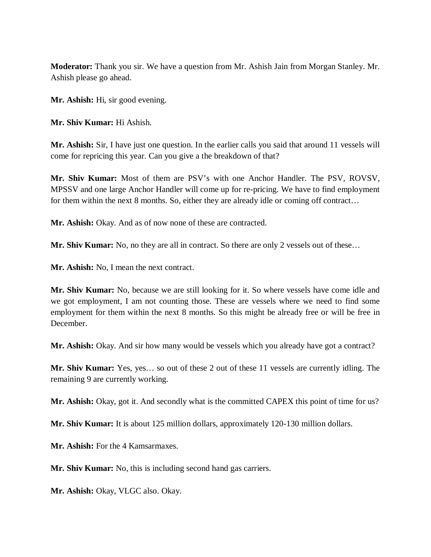**Moderator:** Thank you sir. We have a question from Mr. Ashish Jain from Morgan Stanley. Mr. Ashish please go ahead.

**Mr. Ashish:** Hi, sir good evening.

**Mr. Shiv Kumar:** Hi Ashish.

**Mr. Ashish:** Sir, I have just one question. In the earlier calls you said that around 11 vessels will come for repricing this year. Can you give a the breakdown of that?

**Mr. Shiv Kumar:** Most of them are PSV's with one Anchor Handler. The PSV, ROVSV, MPSSV and one large Anchor Handler will come up for re-pricing. We have to find employment for them within the next 8 months. So, either they are already idle or coming off contract...

**Mr. Ashish:** Okay. And as of now none of these are contracted.

**Mr. Shiv Kumar:** No, no they are all in contract. So there are only 2 vessels out of these…

**Mr. Ashish:** No, I mean the next contract.

**Mr. Shiv Kumar:** No, because we are still looking for it. So where vessels have come idle and we got employment, I am not counting those. These are vessels where we need to find some employment for them within the next 8 months. So this might be already free or will be free in December.

**Mr. Ashish:** Okay. And sir how many would be vessels which you already have got a contract?

**Mr. Shiv Kumar:** Yes, yes… so out of these 2 out of these 11 vessels are currently idling. The remaining 9 are currently working.

**Mr. Ashish:** Okay, got it. And secondly what is the committed CAPEX this point of time for us?

**Mr. Shiv Kumar:** It is about 125 million dollars, approximately 120-130 million dollars.

**Mr. Ashish:** For the 4 Kamsarmaxes.

**Mr. Shiv Kumar:** No, this is including second hand gas carriers.

**Mr. Ashish:** Okay, VLGC also. Okay.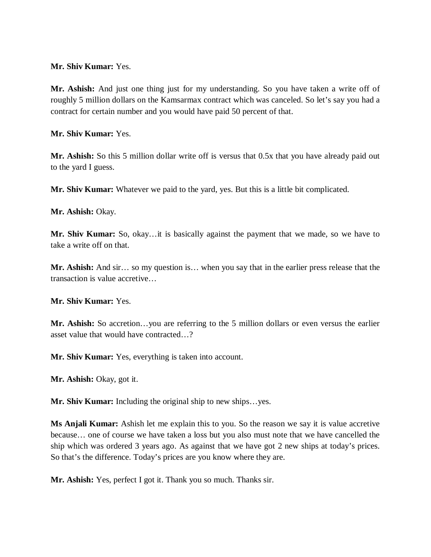### **Mr. Shiv Kumar:** Yes.

**Mr. Ashish:** And just one thing just for my understanding. So you have taken a write off of roughly 5 million dollars on the Kamsarmax contract which was canceled. So let's say you had a contract for certain number and you would have paid 50 percent of that.

**Mr. Shiv Kumar:** Yes.

**Mr. Ashish:** So this 5 million dollar write off is versus that 0.5x that you have already paid out to the yard I guess.

**Mr. Shiv Kumar:** Whatever we paid to the yard, yes. But this is a little bit complicated.

**Mr. Ashish:** Okay.

**Mr. Shiv Kumar:** So, okay…it is basically against the payment that we made, so we have to take a write off on that.

**Mr. Ashish:** And sir… so my question is… when you say that in the earlier press release that the transaction is value accretive…

**Mr. Shiv Kumar:** Yes.

**Mr. Ashish:** So accretion…you are referring to the 5 million dollars or even versus the earlier asset value that would have contracted…?

**Mr. Shiv Kumar:** Yes, everything is taken into account.

**Mr. Ashish:** Okay, got it.

**Mr. Shiv Kumar:** Including the original ship to new ships…yes.

**Ms Anjali Kumar:** Ashish let me explain this to you. So the reason we say it is value accretive because… one of course we have taken a loss but you also must note that we have cancelled the ship which was ordered 3 years ago. As against that we have got 2 new ships at today's prices. So that's the difference. Today's prices are you know where they are.

**Mr. Ashish:** Yes, perfect I got it. Thank you so much. Thanks sir.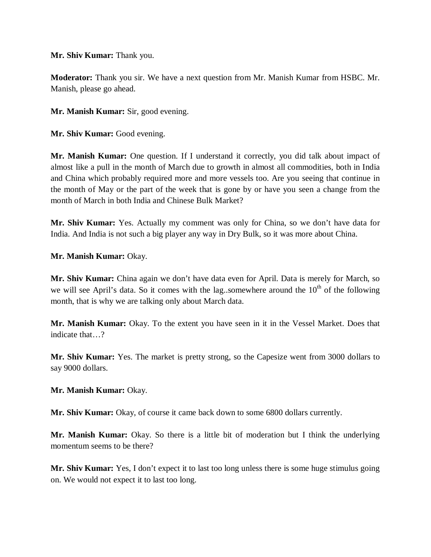### **Mr. Shiv Kumar:** Thank you.

**Moderator:** Thank you sir. We have a next question from Mr. Manish Kumar from HSBC. Mr. Manish, please go ahead.

**Mr. Manish Kumar:** Sir, good evening.

**Mr. Shiv Kumar:** Good evening.

**Mr. Manish Kumar:** One question. If I understand it correctly, you did talk about impact of almost like a pull in the month of March due to growth in almost all commodities, both in India and China which probably required more and more vessels too. Are you seeing that continue in the month of May or the part of the week that is gone by or have you seen a change from the month of March in both India and Chinese Bulk Market?

**Mr. Shiv Kumar:** Yes. Actually my comment was only for China, so we don't have data for India. And India is not such a big player any way in Dry Bulk, so it was more about China.

**Mr. Manish Kumar:** Okay.

**Mr. Shiv Kumar:** China again we don't have data even for April. Data is merely for March, so we will see April's data. So it comes with the lag..somewhere around the  $10<sup>th</sup>$  of the following month, that is why we are talking only about March data.

**Mr. Manish Kumar:** Okay. To the extent you have seen in it in the Vessel Market. Does that indicate that…?

**Mr. Shiv Kumar:** Yes. The market is pretty strong, so the Capesize went from 3000 dollars to say 9000 dollars.

**Mr. Manish Kumar:** Okay.

**Mr. Shiv Kumar:** Okay, of course it came back down to some 6800 dollars currently.

**Mr. Manish Kumar:** Okay. So there is a little bit of moderation but I think the underlying momentum seems to be there?

**Mr. Shiv Kumar:** Yes, I don't expect it to last too long unless there is some huge stimulus going on. We would not expect it to last too long.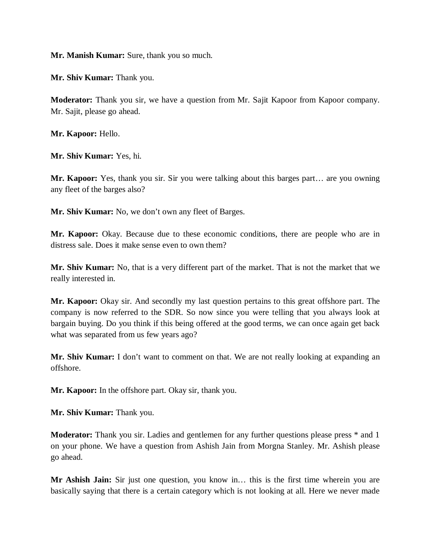**Mr. Manish Kumar:** Sure, thank you so much.

**Mr. Shiv Kumar:** Thank you.

**Moderator:** Thank you sir, we have a question from Mr. Sajit Kapoor from Kapoor company. Mr. Sajit, please go ahead.

**Mr. Kapoor:** Hello.

**Mr. Shiv Kumar:** Yes, hi.

**Mr. Kapoor:** Yes, thank you sir. Sir you were talking about this barges part… are you owning any fleet of the barges also?

**Mr. Shiv Kumar:** No, we don't own any fleet of Barges.

**Mr. Kapoor:** Okay. Because due to these economic conditions, there are people who are in distress sale. Does it make sense even to own them?

**Mr. Shiv Kumar:** No, that is a very different part of the market. That is not the market that we really interested in.

**Mr. Kapoor:** Okay sir. And secondly my last question pertains to this great offshore part. The company is now referred to the SDR. So now since you were telling that you always look at bargain buying. Do you think if this being offered at the good terms, we can once again get back what was separated from us few years ago?

**Mr. Shiv Kumar:** I don't want to comment on that. We are not really looking at expanding an offshore.

**Mr. Kapoor:** In the offshore part. Okay sir, thank you.

**Mr. Shiv Kumar:** Thank you.

**Moderator:** Thank you sir. Ladies and gentlemen for any further questions please press  $*$  and 1 on your phone. We have a question from Ashish Jain from Morgna Stanley. Mr. Ashish please go ahead.

**Mr Ashish Jain:** Sir just one question, you know in… this is the first time wherein you are basically saying that there is a certain category which is not looking at all. Here we never made